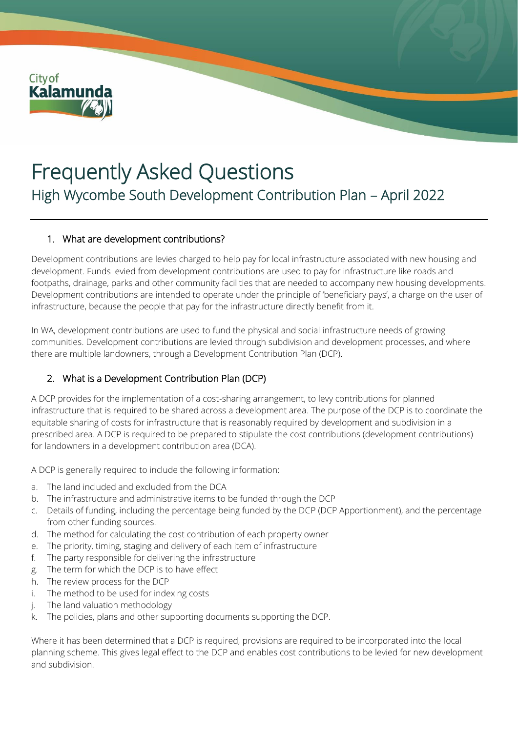

# Frequently Asked Questions High Wycombe South Development Contribution Plan – April 2022

#### 1. What are development contributions?

Development contributions are levies charged to help pay for local infrastructure associated with new housing and development. Funds levied from development contributions are used to pay for infrastructure like roads and footpaths, drainage, parks and other community facilities that are needed to accompany new housing developments. Development contributions are intended to operate under the principle of 'beneficiary pays', a charge on the user of infrastructure, because the people that pay for the infrastructure directly benefit from it.

In WA, development contributions are used to fund the physical and social infrastructure needs of growing communities. Development contributions are levied through subdivision and development processes, and where there are multiple landowners, through a Development Contribution Plan (DCP).

#### 2. What is a Development Contribution Plan (DCP)

A DCP provides for the implementation of a cost-sharing arrangement, to levy contributions for planned infrastructure that is required to be shared across a development area. The purpose of the DCP is to coordinate the equitable sharing of costs for infrastructure that is reasonably required by development and subdivision in a prescribed area. A DCP is required to be prepared to stipulate the cost contributions (development contributions) for landowners in a development contribution area (DCA).

A DCP is generally required to include the following information:

- a. The land included and excluded from the DCA
- b. The infrastructure and administrative items to be funded through the DCP
- c. Details of funding, including the percentage being funded by the DCP (DCP Apportionment), and the percentage from other funding sources.
- d. The method for calculating the cost contribution of each property owner
- e. The priority, timing, staging and delivery of each item of infrastructure
- f. The party responsible for delivering the infrastructure
- g. The term for which the DCP is to have effect
- h. The review process for the DCP
- i. The method to be used for indexing costs
- j. The land valuation methodology
- k. The policies, plans and other supporting documents supporting the DCP.

Where it has been determined that a DCP is required, provisions are required to be incorporated into the local planning scheme. This gives legal effect to the DCP and enables cost contributions to be levied for new development and subdivision.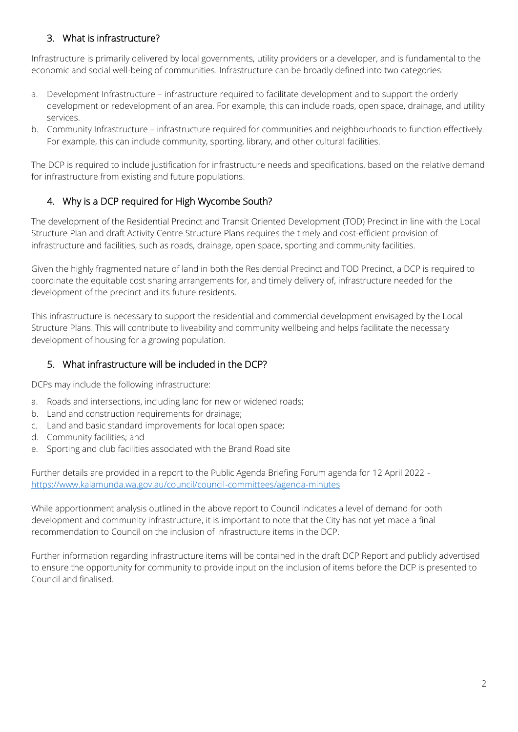## 3. What is infrastructure?

Infrastructure is primarily delivered by local governments, utility providers or a developer, and is fundamental to the economic and social well-being of communities. Infrastructure can be broadly defined into two categories:

- a. Development Infrastructure infrastructure required to facilitate development and to support the orderly development or redevelopment of an area. For example, this can include roads, open space, drainage, and utility services.
- b. Community Infrastructure infrastructure required for communities and neighbourhoods to function effectively. For example, this can include community, sporting, library, and other cultural facilities.

The DCP is required to include justification for infrastructure needs and specifications, based on the relative demand for infrastructure from existing and future populations.

# 4. Why is a DCP required for High Wycombe South?

The development of the Residential Precinct and Transit Oriented Development (TOD) Precinct in line with the Local Structure Plan and draft Activity Centre Structure Plans requires the timely and cost-efficient provision of infrastructure and facilities, such as roads, drainage, open space, sporting and community facilities.

Given the highly fragmented nature of land in both the Residential Precinct and TOD Precinct, a DCP is required to coordinate the equitable cost sharing arrangements for, and timely delivery of, infrastructure needed for the development of the precinct and its future residents.

This infrastructure is necessary to support the residential and commercial development envisaged by the Local Structure Plans. This will contribute to liveability and community wellbeing and helps facilitate the necessary development of housing for a growing population.

## 5. What infrastructure will be included in the DCP?

DCPs may include the following infrastructure:

- a. Roads and intersections, including land for new or widened roads;
- b. Land and construction requirements for drainage;
- c. Land and basic standard improvements for local open space;
- d. Community facilities; and
- e. Sporting and club facilities associated with the Brand Road site

Further details are provided in a report to the Public Agenda Briefing Forum agenda for 12 April 2022 <https://www.kalamunda.wa.gov.au/council/council-committees/agenda-minutes>

While apportionment analysis outlined in the above report to Council indicates a level of demand for both development and community infrastructure, it is important to note that the City has not yet made a final recommendation to Council on the inclusion of infrastructure items in the DCP.

Further information regarding infrastructure items will be contained in the draft DCP Report and publicly advertised to ensure the opportunity for community to provide input on the inclusion of items before the DCP is presented to Council and finalised.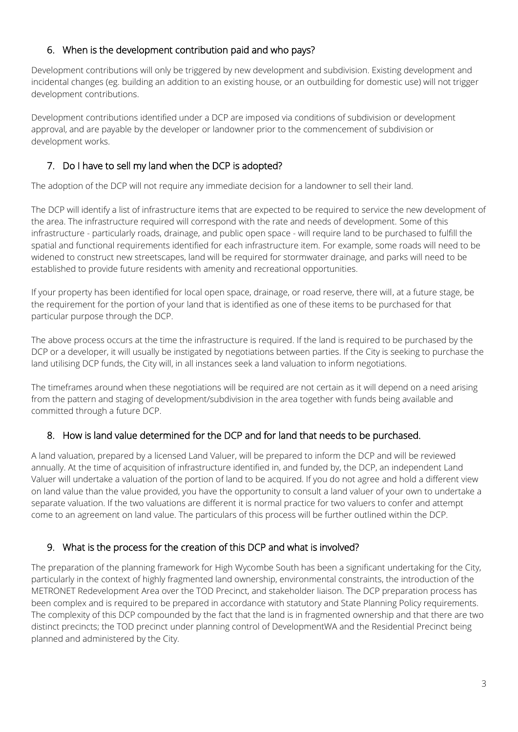#### 6. When is the development contribution paid and who pays?

Development contributions will only be triggered by new development and subdivision. Existing development and incidental changes (eg. building an addition to an existing house, or an outbuilding for domestic use) will not trigger development contributions.

Development contributions identified under a DCP are imposed via conditions of subdivision or development approval, and are payable by the developer or landowner prior to the commencement of subdivision or development works.

## 7. Do I have to sell my land when the DCP is adopted?

The adoption of the DCP will not require any immediate decision for a landowner to sell their land.

The DCP will identify a list of infrastructure items that are expected to be required to service the new development of the area. The infrastructure required will correspond with the rate and needs of development. Some of this infrastructure - particularly roads, drainage, and public open space - will require land to be purchased to fulfill the spatial and functional requirements identified for each infrastructure item. For example, some roads will need to be widened to construct new streetscapes, land will be required for stormwater drainage, and parks will need to be established to provide future residents with amenity and recreational opportunities.

If your property has been identified for local open space, drainage, or road reserve, there will, at a future stage, be the requirement for the portion of your land that is identified as one of these items to be purchased for that particular purpose through the DCP.

The above process occurs at the time the infrastructure is required. If the land is required to be purchased by the DCP or a developer, it will usually be instigated by negotiations between parties. If the City is seeking to purchase the land utilising DCP funds, the City will, in all instances seek a land valuation to inform negotiations.

The timeframes around when these negotiations will be required are not certain as it will depend on a need arising from the pattern and staging of development/subdivision in the area together with funds being available and committed through a future DCP.

## 8. How is land value determined for the DCP and for land that needs to be purchased.

A land valuation, prepared by a licensed Land Valuer, will be prepared to inform the DCP and will be reviewed annually. At the time of acquisition of infrastructure identified in, and funded by, the DCP, an independent Land Valuer will undertake a valuation of the portion of land to be acquired. If you do not agree and hold a different view on land value than the value provided, you have the opportunity to consult a land valuer of your own to undertake a separate valuation. If the two valuations are different it is normal practice for two valuers to confer and attempt come to an agreement on land value. The particulars of this process will be further outlined within the DCP.

## 9. What is the process for the creation of this DCP and what is involved?

The preparation of the planning framework for High Wycombe South has been a significant undertaking for the City, particularly in the context of highly fragmented land ownership, environmental constraints, the introduction of the METRONET Redevelopment Area over the TOD Precinct, and stakeholder liaison. The DCP preparation process has been complex and is required to be prepared in accordance with statutory and State Planning Policy requirements. The complexity of this DCP compounded by the fact that the land is in fragmented ownership and that there are two distinct precincts; the TOD precinct under planning control of DevelopmentWA and the Residential Precinct being planned and administered by the City.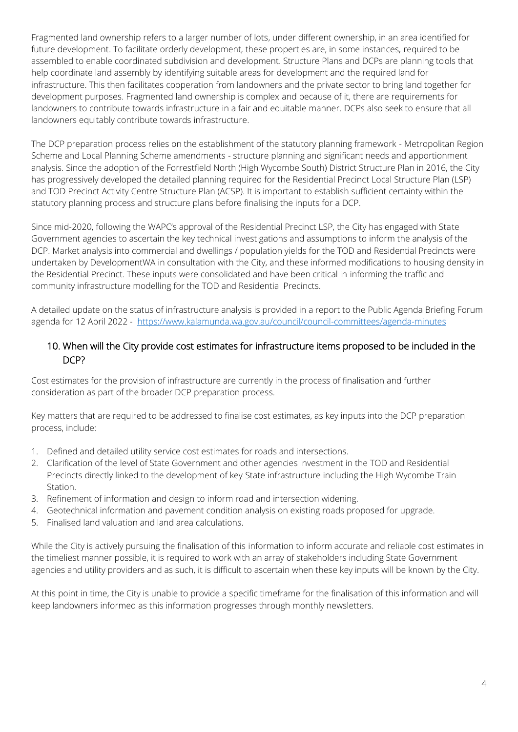Fragmented land ownership refers to a larger number of lots, under different ownership, in an area identified for future development. To facilitate orderly development, these properties are, in some instances, required to be assembled to enable coordinated subdivision and development. Structure Plans and DCPs are planning tools that help coordinate land assembly by identifying suitable areas for development and the required land for infrastructure. This then facilitates cooperation from landowners and the private sector to bring land together for development purposes. Fragmented land ownership is complex and because of it, there are requirements for landowners to contribute towards infrastructure in a fair and equitable manner. DCPs also seek to ensure that all landowners equitably contribute towards infrastructure.

The DCP preparation process relies on the establishment of the statutory planning framework - Metropolitan Region Scheme and Local Planning Scheme amendments - structure planning and significant needs and apportionment analysis. Since the adoption of the Forrestfield North (High Wycombe South) District Structure Plan in 2016, the City has progressively developed the detailed planning required for the Residential Precinct Local Structure Plan (LSP) and TOD Precinct Activity Centre Structure Plan (ACSP). It is important to establish sufficient certainty within the statutory planning process and structure plans before finalising the inputs for a DCP.

Since mid-2020, following the WAPC's approval of the Residential Precinct LSP, the City has engaged with State Government agencies to ascertain the key technical investigations and assumptions to inform the analysis of the DCP. Market analysis into commercial and dwellings / population yields for the TOD and Residential Precincts were undertaken by DevelopmentWA in consultation with the City, and these informed modifications to housing density in the Residential Precinct. These inputs were consolidated and have been critical in informing the traffic and community infrastructure modelling for the TOD and Residential Precincts.

A detailed update on the status of infrastructure analysis is provided in a report to the Public Agenda Briefing Forum agenda for 12 April 2022 - <https://www.kalamunda.wa.gov.au/council/council-committees/agenda-minutes>

#### 10. When will the City provide cost estimates for infrastructure items proposed to be included in the DCP?

Cost estimates for the provision of infrastructure are currently in the process of finalisation and further consideration as part of the broader DCP preparation process.

Key matters that are required to be addressed to finalise cost estimates, as key inputs into the DCP preparation process, include:

- 1. Defined and detailed utility service cost estimates for roads and intersections.
- 2. Clarification of the level of State Government and other agencies investment in the TOD and Residential Precincts directly linked to the development of key State infrastructure including the High Wycombe Train Station.
- 3. Refinement of information and design to inform road and intersection widening.
- 4. Geotechnical information and pavement condition analysis on existing roads proposed for upgrade.
- 5. Finalised land valuation and land area calculations.

While the City is actively pursuing the finalisation of this information to inform accurate and reliable cost estimates in the timeliest manner possible, it is required to work with an array of stakeholders including State Government agencies and utility providers and as such, it is difficult to ascertain when these key inputs will be known by the City.

At this point in time, the City is unable to provide a specific timeframe for the finalisation of this information and will keep landowners informed as this information progresses through monthly newsletters.